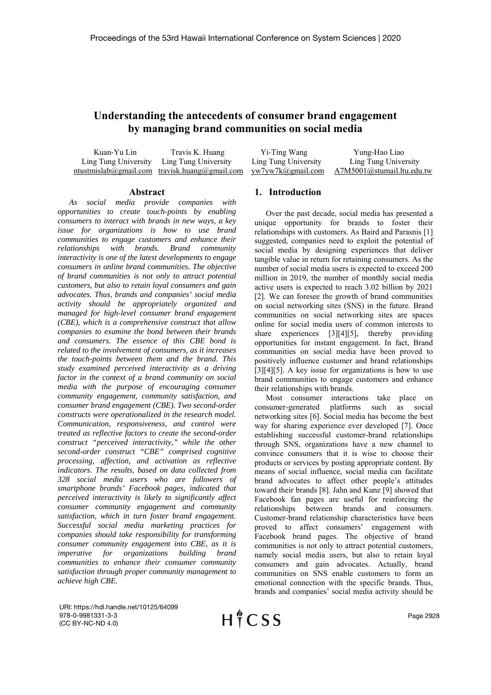# **Understanding the antecedents of consumer brand engagement by managing brand communities on social media**

| Kuan-Yu Lin | Travis K. Huang                                                 | Yi-Ting Wang         | Yung-Hao Liao              |
|-------------|-----------------------------------------------------------------|----------------------|----------------------------|
|             | Ling Tung University Ling Tung University                       | Ling Tung University | Ling Tung University       |
|             | ntustmislab@gmail.com travisk.huang@gmail.com yw7yw7k@gmail.com |                      | A7M5001@stumail.ltu.edu.tw |

#### **Abstract**

*As social media provide companies with opportunities to create touch-points by enabling consumers to interact with brands in new ways, a key issue for organizations is how to use brand communities to engage customers and enhance their relationships with brands. Brand community interactivity is one of the latest developments to engage consumers in online brand communities. The objective of brand communities is not only to attract potential customers, but also to retain loyal consumers and gain advocates. Thus, brands and companies' social media activity should be appropriately organized and managed for high-level consumer brand engagement (CBE), which is a comprehensive construct that allow companies to examine the bond between their brands and consumers. The essence of this CBE bond is related to the involvement of consumers, as it increases the touch-points between them and the brand. This study examined perceived interactivity as a driving factor in the context of a brand community on social media with the purpose of encouraging consumer community engagement, community satisfaction, and consumer brand engagement (CBE). Two second-order constructs were operationalized in the research model. Communication, responsiveness, and control were treated as reflective factors to create the second-order construct "perceived interactivity," while the other second-order construct "CBE" comprised cognitive processing, affection, and activation as reflective indicators. The results, based on data collected from 328 social media users who are followers of smartphone brands' Facebook pages, indicated that perceived interactivity is likely to significantly affect consumer community engagement and community satisfaction, which in turn foster brand engagement. Successful social media marketing practices for companies should take responsibility for transforming consumer community engagement into CBE, as it is imperative for organizations building brand communities to enhance their consumer community satisfaction through proper community management to achieve high CBE.* 

#### **1. Introduction**

Over the past decade, social media has presented a unique opportunity for brands to foster their relationships with customers. As Baird and Parasnis [1] suggested, companies need to exploit the potential of social media by designing experiences that deliver tangible value in return for retaining consumers. As the number of social media users is expected to exceed 200 million in 2019, the number of monthly social media active users is expected to reach 3.02 billion by 2021 [2]. We can foresee the growth of brand communities on social networking sites (SNS) in the future. Brand communities on social networking sites are spaces online for social media users of common interests to share experiences [3][4][5], thereby providing opportunities for instant engagement. In fact, Brand communities on social media have been proved to positively influence customer and brand relationships [3][4][5]. A key issue for organizations is how to use brand communities to engage customers and enhance their relationships with brands.

Most consumer interactions take place on consumer-generated platforms such as social networking sites [6]. Social media has become the best way for sharing experience ever developed [7]. Once establishing successful customer-brand relationships through SNS, organizations have a new channel to convince consumers that it is wise to choose their products or services by posting appropriate content. By means of social influence, social media can facilitate brand advocates to affect other people's attitudes toward their brands [8]. Jahn and Kunz [9] showed that Facebook fan pages are useful for reinforcing the relationships between brands and consumers. Customer-brand relationship characteristics have been proved to affect consumers' engagement with Facebook brand pages. The objective of brand communities is not only to attract potential customers, namely social media users, but also to retain loyal consumers and gain advocates. Actually, brand communities on SNS enable customers to form an emotional connection with the specific brands. Thus, brands and companies' social media activity should be

URI: https://hdl.handle.net/10125/64099 978-0-9981331-3-3 (CC BY-NC-ND 4.0)

HICSS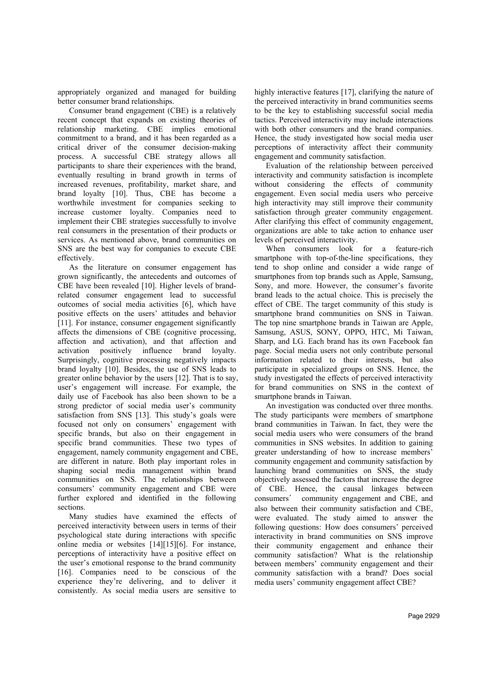appropriately organized and managed for building better consumer brand relationships.

Consumer brand engagement (CBE) is a relatively recent concept that expands on existing theories of relationship marketing. CBE implies emotional commitment to a brand, and it has been regarded as a critical driver of the consumer decision-making process. A successful CBE strategy allows all participants to share their experiences with the brand, eventually resulting in brand growth in terms of increased revenues, profitability, market share, and brand loyalty [10]. Thus, CBE has become a worthwhile investment for companies seeking to increase customer loyalty. Companies need to implement their CBE strategies successfully to involve real consumers in the presentation of their products or services. As mentioned above, brand communities on SNS are the best way for companies to execute CBE effectively.

As the literature on consumer engagement has grown significantly, the antecedents and outcomes of CBE have been revealed [10]. Higher levels of brandrelated consumer engagement lead to successful outcomes of social media activities [6], which have positive effects on the users' attitudes and behavior [11]. For instance, consumer engagement significantly affects the dimensions of CBE (cognitive processing, affection and activation), and that affection and activation positively influence brand loyalty. Surprisingly, cognitive processing negatively impacts brand loyalty [10]. Besides, the use of SNS leads to greater online behavior by the users [12]. That is to say, user's engagement will increase. For example, the daily use of Facebook has also been shown to be a strong predictor of social media user's community satisfaction from SNS [13]. This study's goals were focused not only on consumers' engagement with specific brands, but also on their engagement in specific brand communities. These two types of engagement, namely community engagement and CBE, are different in nature. Both play important roles in shaping social media management within brand communities on SNS. The relationships between consumers' community engagement and CBE were further explored and identified in the following sections.

Many studies have examined the effects of perceived interactivity between users in terms of their psychological state during interactions with specific online media or websites [14][15][6]. For instance, perceptions of interactivity have a positive effect on the user's emotional response to the brand community [16]. Companies need to be conscious of the experience they're delivering, and to deliver it consistently. As social media users are sensitive to

highly interactive features [17], clarifying the nature of the perceived interactivity in brand communities seems to be the key to establishing successful social media tactics. Perceived interactivity may include interactions with both other consumers and the brand companies. Hence, the study investigated how social media user perceptions of interactivity affect their community engagement and community satisfaction.

Evaluation of the relationship between perceived interactivity and community satisfaction is incomplete without considering the effects of community engagement. Even social media users who perceive high interactivity may still improve their community satisfaction through greater community engagement. After clarifying this effect of community engagement, organizations are able to take action to enhance user levels of perceived interactivity.

When consumers look for a feature-rich smartphone with top-of-the-line specifications, they tend to shop online and consider a wide range of smartphones from top brands such as Apple, Samsung, Sony, and more. However, the consumer's favorite brand leads to the actual choice. This is precisely the effect of CBE. The target community of this study is smartphone brand communities on SNS in Taiwan. The top nine smartphone brands in Taiwan are Apple, Samsung, ASUS, SONY, OPPO, HTC, Mi Taiwan, Sharp, and LG. Each brand has its own Facebook fan page. Social media users not only contribute personal information related to their interests, but also participate in specialized groups on SNS. Hence, the study investigated the effects of perceived interactivity for brand communities on SNS in the context of smartphone brands in Taiwan.

An investigation was conducted over three months. The study participants were members of smartphone brand communities in Taiwan. In fact, they were the social media users who were consumers of the brand communities in SNS websites. In addition to gaining greater understanding of how to increase members' community engagement and community satisfaction by launching brand communities on SNS, the study objectively assessed the factors that increase the degree of CBE. Hence, the causal linkages between consumers' community engagement and CBE, and also between their community satisfaction and CBE, were evaluated. The study aimed to answer the following questions: How does consumers' perceived interactivity in brand communities on SNS improve their community engagement and enhance their community satisfaction? What is the relationship between members' community engagement and their community satisfaction with a brand? Does social media users' community engagement affect CBE?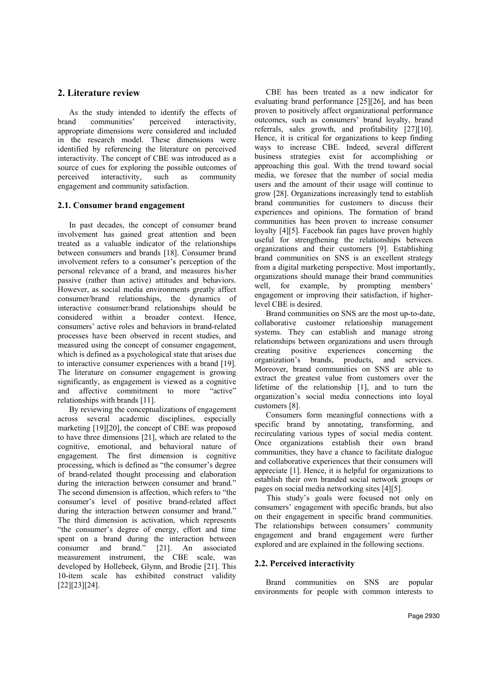## **2. Literature review**

As the study intended to identify the effects of brand communities' perceived interactivity, appropriate dimensions were considered and included in the research model. These dimensions were identified by referencing the literature on perceived interactivity. The concept of CBE was introduced as a source of cues for exploring the possible outcomes of perceived interactivity, such as community engagement and community satisfaction.

## **2.1. Consumer brand engagement**

In past decades, the concept of consumer brand involvement has gained great attention and been treated as a valuable indicator of the relationships between consumers and brands [18]. Consumer brand involvement refers to a consumer's perception of the personal relevance of a brand, and measures his/her passive (rather than active) attitudes and behaviors. However, as social media environments greatly affect consumer/brand relationships, the dynamics of interactive consumer/brand relationships should be considered within a broader context. Hence, consumers' active roles and behaviors in brand-related processes have been observed in recent studies, and measured using the concept of consumer engagement, which is defined as a psychological state that arises due to interactive consumer experiences with a brand [19]. The literature on consumer engagement is growing significantly, as engagement is viewed as a cognitive and affective commitment to more "active" relationships with brands [11].

By reviewing the conceptualizations of engagement across several academic disciplines, especially marketing [19][20], the concept of CBE was proposed to have three dimensions [21], which are related to the cognitive, emotional, and behavioral nature of engagement. The first dimension is cognitive processing, which is defined as "the consumer's degree of brand-related thought processing and elaboration during the interaction between consumer and brand." The second dimension is affection, which refers to "the consumer's level of positive brand-related affect during the interaction between consumer and brand." The third dimension is activation, which represents "the consumer's degree of energy, effort and time spent on a brand during the interaction between consumer and brand." [21]. An associated measurement instrument, the CBE scale, was developed by Hollebeek, Glynn, and Brodie [21]. This 10-item scale has exhibited construct validity [22][23][24].

CBE has been treated as a new indicator for evaluating brand performance [25][26], and has been proven to positively affect organizational performance outcomes, such as consumers' brand loyalty, brand referrals, sales growth, and profitability [27][10]. Hence, it is critical for organizations to keep finding ways to increase CBE. Indeed, several different business strategies exist for accomplishing or approaching this goal. With the trend toward social media, we foresee that the number of social media users and the amount of their usage will continue to grow [28]. Organizations increasingly tend to establish brand communities for customers to discuss their experiences and opinions. The formation of brand communities has been proven to increase consumer loyalty [4][5]. Facebook fan pages have proven highly useful for strengthening the relationships between organizations and their customers [9]. Establishing brand communities on SNS is an excellent strategy from a digital marketing perspective. Most importantly, organizations should manage their brand communities well, for example, by prompting members' engagement or improving their satisfaction, if higherlevel CBE is desired.

Brand communities on SNS are the most up-to-date, collaborative customer relationship management systems. They can establish and manage strong relationships between organizations and users through creating positive experiences concerning the organization's brands, products, and services. Moreover, brand communities on SNS are able to extract the greatest value from customers over the lifetime of the relationship [1], and to turn the organization's social media connections into loyal customers [8].

Consumers form meaningful connections with a specific brand by annotating, transforming, and recirculating various types of social media content. Once organizations establish their own brand communities, they have a chance to facilitate dialogue and collaborative experiences that their consumers will appreciate [1]. Hence, it is helpful for organizations to establish their own branded social network groups or pages on social media networking sites [4][5].

 This study's goals were focused not only on consumers' engagement with specific brands, but also on their engagement in specific brand communities. The relationships between consumers' community engagement and brand engagement were further explored and are explained in the following sections.

## **2.2. Perceived interactivity**

Brand communities on SNS are popular environments for people with common interests to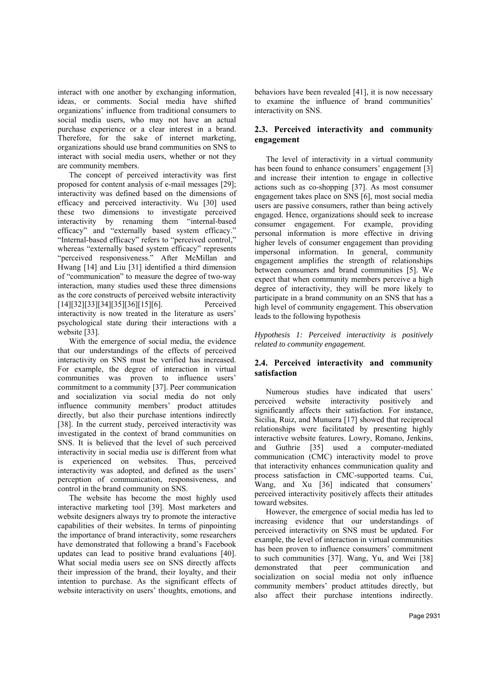interact with one another by exchanging information, ideas, or comments. Social media have shifted organizations' influence from traditional consumers to social media users, who may not have an actual purchase experience or a clear interest in a brand. Therefore, for the sake of internet marketing, organizations should use brand communities on SNS to interact with social media users, whether or not they are community members.

The concept of perceived interactivity was first proposed for content analysis of e-mail messages [29]; interactivity was defined based on the dimensions of efficacy and perceived interactivity. Wu [30] used these two dimensions to investigate perceived interactivity by renaming them "internal-based efficacy" and "externally based system efficacy." "Internal-based efficacy" refers to "perceived control," whereas "externally based system efficacy" represents "perceived responsiveness." After McMillan and Hwang [14] and Liu [31] identified a third dimension of "communication" to measure the degree of two-way interaction, many studies used these three dimensions as the core constructs of perceived website interactivity [14][32][33][34][35][36][15][6]. Perceived interactivity is now treated in the literature as users' psychological state during their interactions with a website [33].

With the emergence of social media, the evidence that our understandings of the effects of perceived interactivity on SNS must be verified has increased. For example, the degree of interaction in virtual communities was proven to influence users' commitment to a community [37]. Peer communication and socialization via social media do not only influence community members' product attitudes directly, but also their purchase intentions indirectly [38]. In the current study, perceived interactivity was investigated in the context of brand communities on SNS. It is believed that the level of such perceived interactivity in social media use is different from what is experienced on websites. Thus, perceived interactivity was adopted, and defined as the users' perception of communication, responsiveness, and control in the brand community on SNS.

The website has become the most highly used interactive marketing tool [39]. Most marketers and website designers always try to promote the interactive capabilities of their websites. In terms of pinpointing the importance of brand interactivity, some researchers have demonstrated that following a brand's Facebook updates can lead to positive brand evaluations [40]. What social media users see on SNS directly affects their impression of the brand, their loyalty, and their intention to purchase. As the significant effects of website interactivity on users' thoughts, emotions, and behaviors have been revealed [41], it is now necessary to examine the influence of brand communities' interactivity on SNS.

## **2.3. Perceived interactivity and community engagement**

The level of interactivity in a virtual community has been found to enhance consumers' engagement [3] and increase their intention to engage in collective actions such as co-shopping [37]. As most consumer engagement takes place on SNS [6], most social media users are passive consumers, rather than being actively engaged. Hence, organizations should seek to increase consumer engagement. For example, providing personal information is more effective in driving higher levels of consumer engagement than providing impersonal information. In general, community engagement amplifies the strength of relationships between consumers and brand communities [5]. We expect that when community members perceive a high degree of interactivity, they will be more likely to participate in a brand community on an SNS that has a high level of community engagement. This observation leads to the following hypothesis

*Hypothesis 1: Perceived interactivity is positively related to community engagement.* 

## **2.4. Perceived interactivity and community satisfaction**

Numerous studies have indicated that users' perceived website interactivity positively and significantly affects their satisfaction. For instance, Sicilia, Ruiz, and Munuera [17] showed that reciprocal relationships were facilitated by presenting highly interactive website features. Lowry, Romano, Jenkins, and Guthrie [35] used a computer-mediated communication (CMC) interactivity model to prove that interactivity enhances communication quality and process satisfaction in CMC-supported teams. Cui, Wang, and Xu [36] indicated that consumers' perceived interactivity positively affects their attitudes toward websites.

However, the emergence of social media has led to increasing evidence that our understandings of perceived interactivity on SNS must be updated. For example, the level of interaction in virtual communities has been proven to influence consumers' commitment to such communities [37]. Wang, Yu, and Wei [38] demonstrated that peer communication and socialization on social media not only influence community members' product attitudes directly, but also affect their purchase intentions indirectly.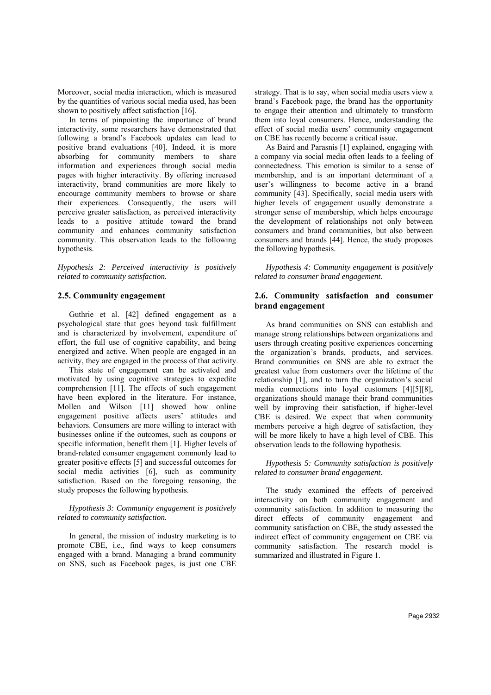Moreover, social media interaction, which is measured by the quantities of various social media used, has been shown to positively affect satisfaction [16].

In terms of pinpointing the importance of brand interactivity, some researchers have demonstrated that following a brand's Facebook updates can lead to positive brand evaluations [40]. Indeed, it is more absorbing for community members to share information and experiences through social media pages with higher interactivity. By offering increased interactivity, brand communities are more likely to encourage community members to browse or share their experiences. Consequently, the users will perceive greater satisfaction, as perceived interactivity leads to a positive attitude toward the brand community and enhances community satisfaction community. This observation leads to the following hypothesis.

*Hypothesis 2: Perceived interactivity is positively related to community satisfaction.* 

#### **2.5. Community engagement**

Guthrie et al. [42] defined engagement as a psychological state that goes beyond task fulfillment and is characterized by involvement, expenditure of effort, the full use of cognitive capability, and being energized and active. When people are engaged in an activity, they are engaged in the process of that activity.

This state of engagement can be activated and motivated by using cognitive strategies to expedite comprehension [11]. The effects of such engagement have been explored in the literature. For instance, Mollen and Wilson [11] showed how online engagement positive affects users' attitudes and behaviors. Consumers are more willing to interact with businesses online if the outcomes, such as coupons or specific information, benefit them [1]. Higher levels of brand-related consumer engagement commonly lead to greater positive effects [5] and successful outcomes for social media activities [6], such as community satisfaction. Based on the foregoing reasoning, the study proposes the following hypothesis.

#### *Hypothesis 3: Community engagement is positively related to community satisfaction.*

In general, the mission of industry marketing is to promote CBE, i.e., find ways to keep consumers engaged with a brand. Managing a brand community on SNS, such as Facebook pages, is just one CBE

strategy. That is to say, when social media users view a brand's Facebook page, the brand has the opportunity to engage their attention and ultimately to transform them into loyal consumers. Hence, understanding the effect of social media users' community engagement on CBE has recently become a critical issue.

As Baird and Parasnis [1] explained, engaging with a company via social media often leads to a feeling of connectedness. This emotion is similar to a sense of membership, and is an important determinant of a user's willingness to become active in a brand community [43]. Specifically, social media users with higher levels of engagement usually demonstrate a stronger sense of membership, which helps encourage the development of relationships not only between consumers and brand communities, but also between consumers and brands [44]. Hence, the study proposes the following hypothesis.

*Hypothesis 4: Community engagement is positively related to consumer brand engagement.*

#### **2.6. Community satisfaction and consumer brand engagement**

As brand communities on SNS can establish and manage strong relationships between organizations and users through creating positive experiences concerning the organization's brands, products, and services. Brand communities on SNS are able to extract the greatest value from customers over the lifetime of the relationship [1], and to turn the organization's social media connections into loyal customers [4][5][8], organizations should manage their brand communities well by improving their satisfaction, if higher-level CBE is desired. We expect that when community members perceive a high degree of satisfaction, they will be more likely to have a high level of CBE. This observation leads to the following hypothesis.

*Hypothesis 5: Community satisfaction is positively related to consumer brand engagement.*

The study examined the effects of perceived interactivity on both community engagement and community satisfaction. In addition to measuring the direct effects of community engagement and community satisfaction on CBE, the study assessed the indirect effect of community engagement on CBE via community satisfaction. The research model is summarized and illustrated in Figure 1.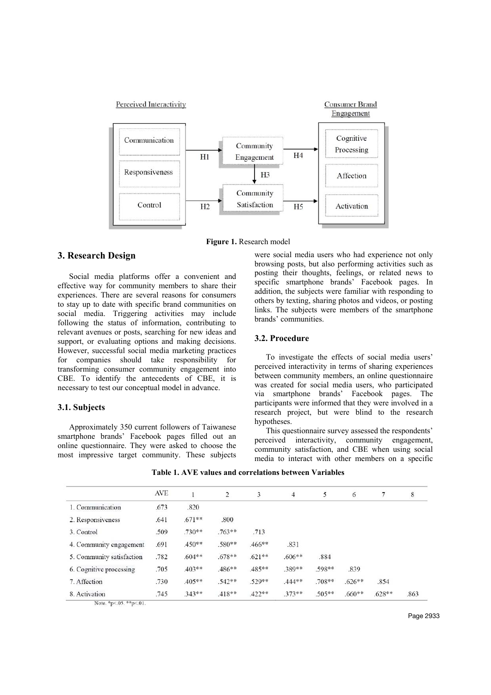

**Figure 1.** Research model

## **3. Research Design**

Social media platforms offer a convenient and effective way for community members to share their experiences. There are several reasons for consumers to stay up to date with specific brand communities on social media. Triggering activities may include following the status of information, contributing to relevant avenues or posts, searching for new ideas and support, or evaluating options and making decisions. However, successful social media marketing practices for companies should take responsibility for transforming consumer community engagement into CBE. To identify the antecedents of CBE, it is necessary to test our conceptual model in advance.

#### **3.1. Subjects**

Approximately 350 current followers of Taiwanese smartphone brands' Facebook pages filled out an online questionnaire. They were asked to choose the most impressive target community. These subjects

were social media users who had experience not only browsing posts, but also performing activities such as posting their thoughts, feelings, or related news to specific smartphone brands' Facebook pages. In addition, the subjects were familiar with responding to others by texting, sharing photos and videos, or posting links. The subjects were members of the smartphone brands' communities.

#### **3.2. Procedure**

To investigate the effects of social media users' perceived interactivity in terms of sharing experiences between community members, an online questionnaire was created for social media users, who participated via smartphone brands' Facebook pages. The participants were informed that they were involved in a research project, but were blind to the research hypotheses.

This questionnaire survey assessed the respondents' perceived interactivity, community engagement, community satisfaction, and CBE when using social media to interact with other members on a specific

**Table 1. AVE values and correlations between Variables** 

|                           | <b>AVE</b> |           | 2         | 3        | 4        | 5        | 6        |          | $\,$ 8 $\,$ |
|---------------------------|------------|-----------|-----------|----------|----------|----------|----------|----------|-------------|
| 1. Communication          | .673       | .820      |           |          |          |          |          |          |             |
| 2. Responsiveness         | .641       | $.671**$  | .800      |          |          |          |          |          |             |
| 3. Control                | .509       | $.730***$ | $.763***$ | .713     |          |          |          |          |             |
| 4. Community engagement   | .691       | .450**    | .580**    | .466**   | .831     |          |          |          |             |
| 5. Community satisfaction | .782       | $.604**$  | $.678**$  | $.621**$ | $.606**$ | .884     |          |          |             |
| 6. Cognitive processing   | .705       | .403**    | .486**    | .485**   | .389**   | .598**   | .839     |          |             |
| 7. Affection              | .730       | .405**    | .542**    | .529**   | .444**   | .708**   | $.626**$ | .854     |             |
| 8. Activation             | .745       | $.343**$  | $.418**$  | $.422**$ | $.373**$ | $.505**$ | $.660**$ | $.628**$ | .863        |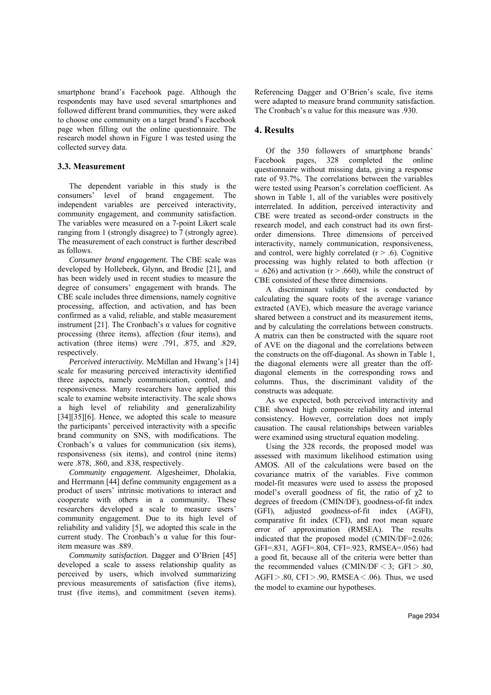smartphone brand's Facebook page. Although the respondents may have used several smartphones and followed different brand communities, they were asked to choose one community on a target brand's Facebook page when filling out the online questionnaire. The research model shown in Figure 1 was tested using the collected survey data.

#### **3.3. Measurement**

The dependent variable in this study is the consumers' level of brand engagement. The independent variables are perceived interactivity, community engagement, and community satisfaction. The variables were measured on a 7-point Likert scale ranging from 1 (strongly disagree) to 7 (strongly agree). The measurement of each construct is further described as follows.

*Consumer brand engagement.* The CBE scale was developed by Hollebeek, Glynn, and Brodie [21], and has been widely used in recent studies to measure the degree of consumers' engagement with brands. The CBE scale includes three dimensions, namely cognitive processing, affection, and activation, and has been confirmed as a valid, reliable, and stable measurement instrument [21]. The Cronbach's  $\alpha$  values for cognitive processing (three items), affection (four items), and activation (three items) were .791, .875, and .829, respectively.

*Perceived interactivity.* McMillan and Hwang's [14] scale for measuring perceived interactivity identified three aspects, namely communication, control, and responsiveness. Many researchers have applied this scale to examine website interactivity. The scale shows a high level of reliability and generalizability [34][35][6]. Hence, we adopted this scale to measure the participants' perceived interactivity with a specific brand community on SNS, with modifications. The Cronbach's  $\alpha$  values for communication (six items), responsiveness (six items), and control (nine items) were .878, .860, and .838, respectively.

*Community engagement.* Algesheimer, Dholakia, and Herrmann [44] define community engagement as a product of users' intrinsic motivations to interact and cooperate with others in a community. These researchers developed a scale to measure users' community engagement. Due to its high level of reliability and validity [5], we adopted this scale in the current study. The Cronbach's  $\alpha$  value for this fouritem measure was .889.

*Community satisfaction.* Dagger and O'Brien [45] developed a scale to assess relationship quality as perceived by users, which involved summarizing previous measurements of satisfaction (five items), trust (five items), and commitment (seven items).

Referencing Dagger and O'Brien's scale, five items were adapted to measure brand community satisfaction. The Cronbach's  $\alpha$  value for this measure was .930.

## **4. Results**

Of the 350 followers of smartphone brands' Facebook pages, 328 completed the online questionnaire without missing data, giving a response rate of 93.7%. The correlations between the variables were tested using Pearson's correlation coefficient. As shown in Table 1, all of the variables were positively interrelated. In addition, perceived interactivity and CBE were treated as second-order constructs in the research model, and each construct had its own firstorder dimensions. Three dimensions of perceived interactivity, namely communication, responsiveness, and control, were highly correlated  $(r > .6)$ . Cognitive processing was highly related to both affection (r  $= .626$ ) and activation (r  $> .660$ ), while the construct of CBE consisted of these three dimensions.

A discriminant validity test is conducted by calculating the square roots of the average variance extracted (AVE), which measure the average variance shared between a construct and its measurement items, and by calculating the correlations between constructs. A matrix can then be constructed with the square root of AVE on the diagonal and the correlations between the constructs on the off-diagonal. As shown in Table 1, the diagonal elements were all greater than the offdiagonal elements in the corresponding rows and columns. Thus, the discriminant validity of the constructs was adequate.

As we expected, both perceived interactivity and CBE showed high composite reliability and internal consistency. However, correlation does not imply causation. The causal relationships between variables were examined using structural equation modeling.

Using the 328 records, the proposed model was assessed with maximum likelihood estimation using AMOS. All of the calculations were based on the covariance matrix of the variables. Five common model-fit measures were used to assess the proposed model's overall goodness of fit, the ratio of  $\gamma$ 2 to degrees of freedom (CMIN/DF), goodness-of-fit index (GFI), adjusted goodness-of-fit index (AGFI), comparative fit index (CFI), and root mean square error of approximation (RMSEA). The results indicated that the proposed model (CMIN/DF=2.026; GFI=.831, AGFI=.804, CFI=.923, RMSEA=.056) had a good fit, because all of the criteria were better than the recommended values (CMIN/DF  $\leq$  3; GFI  $> .80$ , AGFI $>$ .80, CFI $>$ .90, RMSEA $<$ .06). Thus, we used the model to examine our hypotheses.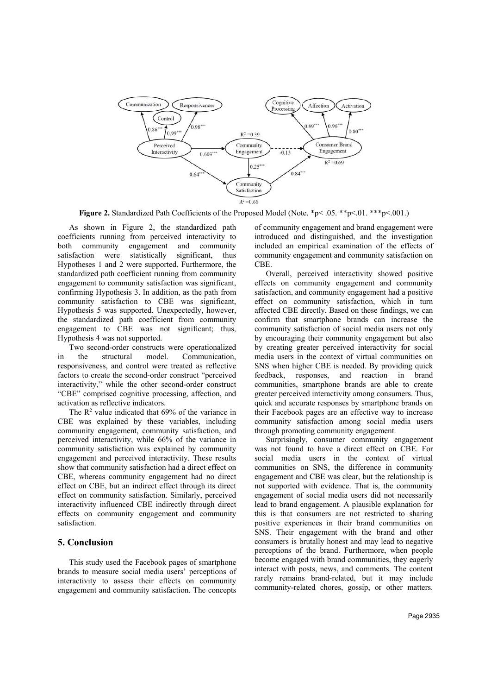

**Figure 2.** Standardized Path Coefficients of the Proposed Model (Note. \*p< .05. \*\*p<.01. \*\*\*p<.001.)

As shown in Figure 2, the standardized path coefficients running from perceived interactivity to both community engagement and community satisfaction were statistically significant, thus Hypotheses 1 and 2 were supported. Furthermore, the standardized path coefficient running from community engagement to community satisfaction was significant, confirming Hypothesis 3. In addition, as the path from community satisfaction to CBE was significant, Hypothesis 5 was supported. Unexpectedly, however, the standardized path coefficient from community engagement to CBE was not significant; thus, Hypothesis 4 was not supported.

Two second-order constructs were operationalized in the structural model. Communication, responsiveness, and control were treated as reflective factors to create the second-order construct "perceived interactivity," while the other second-order construct "CBE" comprised cognitive processing, affection, and activation as reflective indicators.

The  $\mathbb{R}^2$  value indicated that 69% of the variance in CBE was explained by these variables, including community engagement, community satisfaction, and perceived interactivity, while 66% of the variance in community satisfaction was explained by community engagement and perceived interactivity. These results show that community satisfaction had a direct effect on CBE, whereas community engagement had no direct effect on CBE, but an indirect effect through its direct effect on community satisfaction. Similarly, perceived interactivity influenced CBE indirectly through direct effects on community engagement and community satisfaction.

#### **5. Conclusion**

This study used the Facebook pages of smartphone brands to measure social media users' perceptions of interactivity to assess their effects on community engagement and community satisfaction. The concepts

of community engagement and brand engagement were introduced and distinguished, and the investigation included an empirical examination of the effects of community engagement and community satisfaction on CBE.

Overall, perceived interactivity showed positive effects on community engagement and community satisfaction, and community engagement had a positive effect on community satisfaction, which in turn affected CBE directly. Based on these findings, we can confirm that smartphone brands can increase the community satisfaction of social media users not only by encouraging their community engagement but also by creating greater perceived interactivity for social media users in the context of virtual communities on SNS when higher CBE is needed. By providing quick feedback, responses, and reaction in brand communities, smartphone brands are able to create greater perceived interactivity among consumers. Thus, quick and accurate responses by smartphone brands on their Facebook pages are an effective way to increase community satisfaction among social media users through promoting community engagement.

Surprisingly, consumer community engagement was not found to have a direct effect on CBE. For social media users in the context of virtual communities on SNS, the difference in community engagement and CBE was clear, but the relationship is not supported with evidence. That is, the community engagement of social media users did not necessarily lead to brand engagement. A plausible explanation for this is that consumers are not restricted to sharing positive experiences in their brand communities on SNS. Their engagement with the brand and other consumers is brutally honest and may lead to negative perceptions of the brand. Furthermore, when people become engaged with brand communities, they eagerly interact with posts, news, and comments. The content rarely remains brand-related, but it may include community-related chores, gossip, or other matters.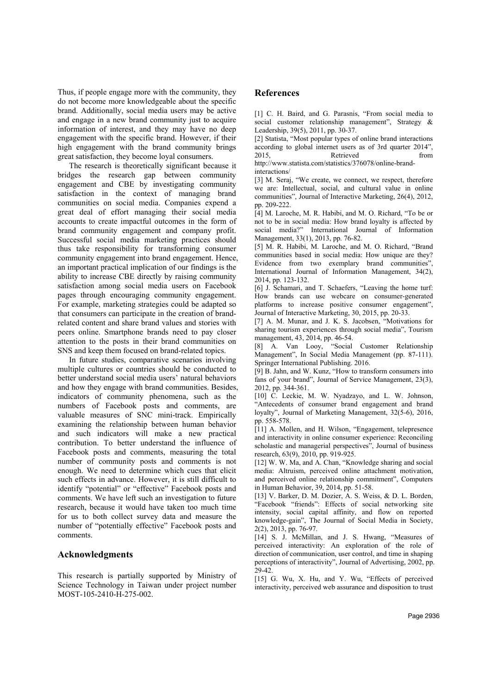Thus, if people engage more with the community, they do not become more knowledgeable about the specific brand. Additionally, social media users may be active and engage in a new brand community just to acquire information of interest, and they may have no deep engagement with the specific brand. However, if their high engagement with the brand community brings great satisfaction, they become loyal consumers.

The research is theoretically significant because it bridges the research gap between community engagement and CBE by investigating community satisfaction in the context of managing brand communities on social media. Companies expend a great deal of effort managing their social media accounts to create impactful outcomes in the form of brand community engagement and company profit. Successful social media marketing practices should thus take responsibility for transforming consumer community engagement into brand engagement. Hence, an important practical implication of our findings is the ability to increase CBE directly by raising community satisfaction among social media users on Facebook pages through encouraging community engagement. For example, marketing strategies could be adapted so that consumers can participate in the creation of brandrelated content and share brand values and stories with peers online. Smartphone brands need to pay closer attention to the posts in their brand communities on SNS and keep them focused on brand-related topics.

In future studies, comparative scenarios involving multiple cultures or countries should be conducted to better understand social media users' natural behaviors and how they engage with brand communities. Besides, indicators of community phenomena, such as the numbers of Facebook posts and comments, are valuable measures of SNC mini-track. Empirically examining the relationship between human behavior and such indicators will make a new practical contribution. To better understand the influence of Facebook posts and comments, measuring the total number of community posts and comments is not enough. We need to determine which cues that elicit such effects in advance. However, it is still difficult to identify "potential" or "effective" Facebook posts and comments. We have left such an investigation to future research, because it would have taken too much time for us to both collect survey data and measure the number of "potentially effective" Facebook posts and comments.

## **Acknowledgments**

This research is partially supported by Ministry of Science Technology in Taiwan under project number MOST-105-2410-H-275-002.

## **References**

[1] C. H. Baird, and G. Parasnis, "From social media to social customer relationship management", Strategy & Leadership, 39(5), 2011, pp. 30-37.

[2] Statista, "Most popular types of online brand interactions according to global internet users as of 3rd quarter 2014", 2015, Retrieved from http://www.statista.com/statistics/376078/online-brand-

interactions/

[3] M. Seraj, "We create, we connect, we respect, therefore we are: Intellectual, social, and cultural value in online communities", Journal of Interactive Marketing, 26(4), 2012, pp. 209-222.

[4] M. Laroche, M. R. Habibi, and M. O. Richard, "To be or not to be in social media: How brand loyalty is affected by social media?" International Journal of Information Management, 33(1), 2013, pp. 76-82.

[5] M. R. Habibi, M. Laroche, and M. O. Richard, "Brand communities based in social media: How unique are they? Evidence from two exemplary brand communities", International Journal of Information Management, 34(2), 2014, pp. 123-132.

[6] J. Schamari, and T. Schaefers, "Leaving the home turf: How brands can use webcare on consumer-generated platforms to increase positive consumer engagement", Journal of Interactive Marketing, 30, 2015, pp. 20-33.

[7] A. M. Munar, and J. K. S. Jacobsen, "Motivations for sharing tourism experiences through social media", Tourism management, 43, 2014, pp. 46-54.

[8] A. Van Looy, "Social Customer Relationship Management", In Social Media Management (pp. 87-111). Springer International Publishing. 2016.

[9] B. Jahn, and W. Kunz, "How to transform consumers into fans of your brand", Journal of Service Management, 23(3), 2012, pp. 344-361.

[10] C. Leckie, M. W. Nyadzayo, and L. W. Johnson, "Antecedents of consumer brand engagement and brand loyalty", Journal of Marketing Management, 32(5-6), 2016, pp. 558-578.

[11] A. Mollen, and H. Wilson, "Engagement, telepresence and interactivity in online consumer experience: Reconciling scholastic and managerial perspectives", Journal of business research, 63(9), 2010, pp. 919-925.

[12] W. W. Ma, and A. Chan, "Knowledge sharing and social media: Altruism, perceived online attachment motivation, and perceived online relationship commitment", Computers in Human Behavior, 39, 2014, pp. 51-58.

[13] V. Barker, D. M. Dozier, A. S. Weiss, & D. L. Borden, "Facebook "friends": Effects of social networking site intensity, social capital affinity, and flow on reported knowledge-gain", The Journal of Social Media in Society, 2(2), 2013, pp. 76-97.

[14] S. J. McMillan, and J. S. Hwang, "Measures of perceived interactivity: An exploration of the role of direction of communication, user control, and time in shaping perceptions of interactivity", Journal of Advertising, 2002, pp. 29-42.

[15] G. Wu, X. Hu, and Y. Wu, "Effects of perceived interactivity, perceived web assurance and disposition to trust